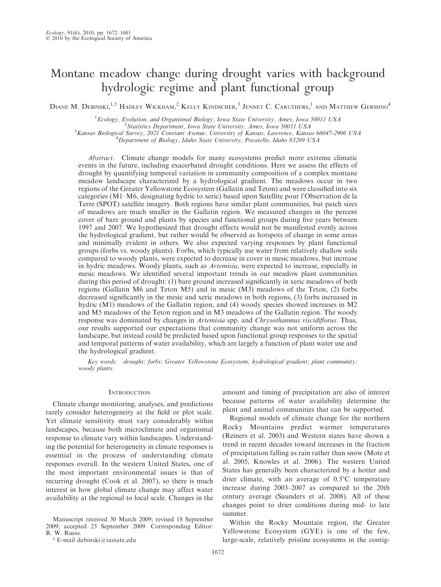# Montane meadow change during drought varies with background hydrologic regime and plant functional group

DIANE M. DEBINSKI,<sup>1,5</sup> HADLEY WICKHAM,<sup>2</sup> Kelly Kindscher,<sup>3</sup> Jennet C. Caruthers,<sup>1</sup> and Matthew Germino<sup>4</sup>

<sup>1</sup>Ecology, Evolution, and Organismal Biology, Iowa State University, Ames, Iowa 50011 USA<br><sup>2</sup>Statistics Department Jowa State University, Ames, Iowa 50011 USA

 $^2$ Statistics Department, Iowa State University, Ames, Iowa 50011 USA

 $K^3$ Kansas Biological Survey, 2021 Constant Avenue, University of Kansas, Lawrence, Kansas 66047-2906 USA

<sup>4</sup>Department of Biology, Idaho State University, Pocatello, Idaho 83209 USA

Abstract. Climate change models for many ecosystems predict more extreme climatic events in the future, including exacerbated drought conditions. Here we assess the effects of drought by quantifying temporal variation in community composition of a complex montane meadow landscape characterized by a hydrological gradient. The meadows occur in two regions of the Greater Yellowstone Ecosystem (Gallatin and Teton) and were classified into six categories (M1–M6, designating hydric to xeric) based upon Satellite pour l'Observation de la Terre (SPOT) satellite imagery. Both regions have similar plant communities, but patch sizes of meadows are much smaller in the Gallatin region. We measured changes in the percent cover of bare ground and plants by species and functional groups during five years between 1997 and 2007. We hypothesized that drought effects would not be manifested evenly across the hydrological gradient, but rather would be observed as hotspots of change in some areas and minimally evident in others. We also expected varying responses by plant functional groups (forbs vs. woody plants). Forbs, which typically use water from relatively shallow soils compared to woody plants, were expected to decrease in cover in mesic meadows, but increase in hydric meadows. Woody plants, such as Artemisia, were expected to increase, especially in mesic meadows. We identified several important trends in our meadow plant communities during this period of drought: (1) bare ground increased significantly in xeric meadows of both regions (Gallatin M6 and Teton M5) and in mesic (M3) meadows of the Teton, (2) forbs decreased significantly in the mesic and xeric meadows in both regions, (3) forbs increased in hydric (M1) meadows of the Gallatin region, and (4) woody species showed increases in M2 and M5 meadows of the Teton region and in M3 meadows of the Gallatin region. The woody response was dominated by changes in Artemisia spp. and Chrysothamnus viscidiflorus. Thus, our results supported our expectations that community change was not uniform across the landscape, but instead could be predicted based upon functional group responses to the spatial and temporal patterns of water availability, which are largely a function of plant water use and the hydrological gradient.

Key words: drought; forbs; Greater Yellowstone Ecosystem; hydrological gradient; plant community; woody plants.

## **INTRODUCTION**

Climate change monitoring, analyses, and predictions rarely consider heterogeneity at the field or plot scale. Yet climate sensitivity must vary considerably within landscapes, because both microclimate and organismal response to climate vary within landscapes. Understanding the potential for heterogeneity in climate responses is essential in the process of understanding climate responses overall. In the western United States, one of the most important environmental issues is that of recurring drought (Cook et al. 2007), so there is much interest in how global climate change may affect water availability at the regional to local scale. Changes in the

Manuscript received 30 March 2009; revised 18 September 2009; accepted 23 September 2009. Corresponding Editor: R. W. Ruess.

<sup>5</sup> E-mail debinski@iastate.edu

amount and timing of precipitation are also of interest because patterns of water availability determine the plant and animal communities that can be supported.

Regional models of climate change for the northern Rocky Mountains predict warmer temperatures (Reiners et al. 2003) and Western states have shown a trend in recent decades toward increases in the fraction of precipitation falling as rain rather than snow (Mote et al. 2005, Knowles et al. 2006). The western United States has generally been characterized by a hotter and drier climate, with an average of  $0.5^{\circ}$ C temperature increase during 2003–2007 as compared to the 20th century average (Saunders et al. 2008). All of these changes point to drier conditions during mid- to late summer.

Within the Rocky Mountain region, the Greater Yellowstone Ecosystem (GYE) is one of the few, large-scale, relatively pristine ecosystems in the contig-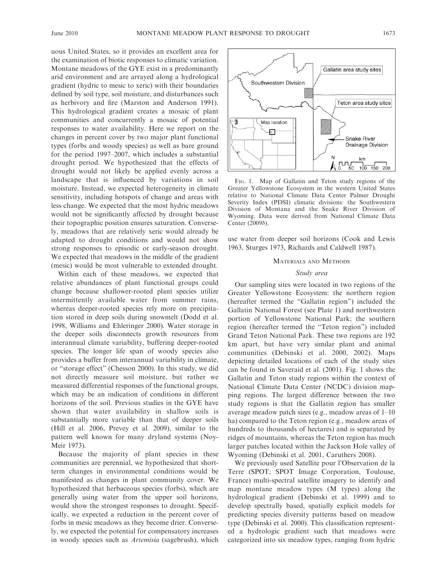uous United States, so it provides an excellent area for the examination of biotic responses to climatic variation. Montane meadows of the GYE exist in a predominantly arid environment and are arrayed along a hydrological gradient (hydric to mesic to xeric) with their boundaries defined by soil type, soil moisture, and disturbances such as herbivory and fire (Marston and Anderson 1991). This hydrological gradient creates a mosaic of plant communities and concurrently a mosaic of potential responses to water availability. Here we report on the changes in percent cover by two major plant functional types (forbs and woody species) as well as bare ground for the period 1997–2007, which includes a substantial drought period. We hypothesized that the effects of drought would not likely be applied evenly across a landscape that is influenced by variations in soil moisture. Instead, we expected heterogeneity in climate sensitivity, including hotspots of change and areas with less change. We expected that the most hydric meadows would not be significantly affected by drought because their topographic position ensures saturation. Conversely, meadows that are relatively xeric would already be adapted to drought conditions and would not show strong responses to episodic or early-season drought. We expected that meadows in the middle of the gradient (mesic) would be most vulnerable to extended drought.

Within each of these meadows, we expected that relative abundances of plant functional groups could change because shallower-rooted plant species utilize intermittently available water from summer rains, whereas deeper-rooted species rely more on precipitation stored in deep soils during snowmelt (Dodd et al. 1998, Williams and Ehleringer 2000). Water storage in the deeper soils disconnects growth resources from interannual climate variability, buffering deeper-rooted species. The longer life span of woody species also provides a buffer from interannual variability in climate, or ''storage effect'' (Chesson 2000). In this study, we did not directly measure soil moisture, but rather we measured differential responses of the functional groups, which may be an indication of conditions in different horizons of the soil. Previous studies in the GYE have shown that water availability in shallow soils is substantially more variable than that of deeper soils (Hill et al. 2006, Prevey et al. 2009), similar to the pattern well known for many dryland systems (Noy-Meir 1973).

Because the majority of plant species in these communities are perennial, we hypothesized that shortterm changes in environmental conditions would be manifested as changes in plant community cover. We hypothesized that herbaceous species (forbs), which are generally using water from the upper soil horizons, would show the strongest responses to drought. Specifically, we expected a reduction in the percent cover of forbs in mesic meadows as they become drier. Conversely, we expected the potential for compensatory increases in woody species such as Artemisia (sagebrush), which



FIG. 1. Map of Gallatin and Teton study regions of the Greater Yellowstone Ecosystem in the western United States relative to National Climate Data Center Palmer Drought Severity Index (PDSI) climatic divisions: the Southwestern Division of Montana and the Snake River Division of Wyoming. Data were derived from National Climate Data Center (2009b).

use water from deeper soil horizons (Cook and Lewis 1963, Sturges 1973, Richards and Caldwell 1987).

#### MATERIALS AND METHODS

## Study area

Our sampling sites were located in two regions of the Greater Yellowstone Ecosystem: the northern region (hereafter termed the ''Gallatin region'') included the Gallatin National Forest (see Plate 1) and northwestern portion of Yellowstone National Park; the southern region (hereafter termed the ''Teton region'') included Grand Teton National Park. These two regions are 192 km apart, but have very similar plant and animal communities (Debinski et al. 2000, 2002). Maps depicting detailed locations of each of the study sites can be found in Saveraid et al. (2001). Fig. 1 shows the Gallatin and Teton study regions within the context of National Climate Data Center (NCDC) division mapping regions. The largest difference between the two study regions is that the Gallatin region has smaller average meadow patch sizes (e.g., meadow areas of 1–10 ha) compared to the Teton region (e.g., meadow areas of hundreds to thousands of hectares) and is separated by ridges of mountains, whereas the Teton region has much larger patches located within the Jackson Hole valley of Wyoming (Debinski et al. 2001, Caruthers 2008).

We previously used Satellite pour l'Observation de la Terre (SPOT; SPOT Image Corporation, Toulouse, France) multi-spectral satellite imagery to identify and map montane meadow types (M types) along the hydrological gradient (Debinski et al. 1999) and to develop spectrally based, spatially explicit models for predicting species diversity patterns based on meadow type (Debinski et al. 2000). This classification represented a hydrologic gradient such that meadows were categorized into six meadow types, ranging from hydric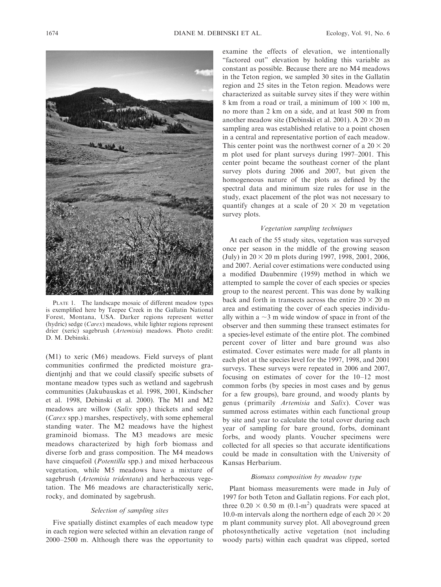

PLATE 1. The landscape mosaic of different meadow types is exemplified here by Teepee Creek in the Gallatin National Forest, Montana, USA. Darker regions represent wetter (hydric) sedge (Carex) meadows, while lighter regions represent drier (xeric) sagebrush (Artemisia) meadows. Photo credit: D. M. Debinski.

(M1) to xeric (M6) meadows. Field surveys of plant communities confirmed the predicted moisture gradientjnhj and that we could classify specific subsets of montane meadow types such as wetland and sagebrush communities (Jakubauskas et al. 1998, 2001, Kindscher et al. 1998, Debinski et al. 2000). The M1 and M2 meadows are willow (Salix spp.) thickets and sedge (Carex spp.) marshes, respectively, with some ephemeral standing water. The M2 meadows have the highest graminoid biomass. The M3 meadows are mesic meadows characterized by high forb biomass and diverse forb and grass composition. The M4 meadows have cinquefoil (Potentilla spp.) and mixed herbaceous vegetation, while M5 meadows have a mixture of sagebrush (Artemisia tridentata) and herbaceous vegetation. The M6 meadows are characteristically xeric, rocky, and dominated by sagebrush.

## Selection of sampling sites

Five spatially distinct examples of each meadow type in each region were selected within an elevation range of 2000–2500 m. Although there was the opportunity to examine the effects of elevation, we intentionally "factored out" elevation by holding this variable as constant as possible. Because there are no M4 meadows in the Teton region, we sampled 30 sites in the Gallatin region and 25 sites in the Teton region. Meadows were characterized as suitable survey sites if they were within 8 km from a road or trail, a minimum of  $100 \times 100$  m, no more than 2 km on a side, and at least 500 m from another meadow site (Debinski et al. 2001). A  $20 \times 20$  m sampling area was established relative to a point chosen in a central and representative portion of each meadow. This center point was the northwest corner of a  $20 \times 20$ m plot used for plant surveys during 1997–2001. This center point became the southeast corner of the plant survey plots during 2006 and 2007, but given the homogeneous nature of the plots as defined by the spectral data and minimum size rules for use in the study, exact placement of the plot was not necessary to quantify changes at a scale of  $20 \times 20$  m vegetation survey plots.

#### Vegetation sampling techniques

At each of the 55 study sites, vegetation was surveyed once per season in the middle of the growing season (July) in  $20 \times 20$  m plots during 1997, 1998, 2001, 2006, and 2007. Aerial cover estimations were conducted using a modified Daubenmire (1959) method in which we attempted to sample the cover of each species or species group to the nearest percent. This was done by walking back and forth in transects across the entire  $20 \times 20$  m area and estimating the cover of each species individually within a  $\sim$ 3 m wide window of space in front of the observer and then summing these transect estimates for a species-level estimate of the entire plot. The combined percent cover of litter and bare ground was also estimated. Cover estimates were made for all plants in each plot at the species level for the 1997, 1998, and 2001 surveys. These surveys were repeated in 2006 and 2007, focusing on estimates of cover for the 10–12 most common forbs (by species in most cases and by genus for a few groups), bare ground, and woody plants by genus (primarily *Artemisia* and *Salix*). Cover was summed across estimates within each functional group by site and year to calculate the total cover during each year of sampling for bare ground, forbs, dominant forbs, and woody plants. Voucher specimens were collected for all species so that accurate identifications could be made in consultation with the University of Kansas Herbarium.

## Biomass composition by meadow type

Plant biomass measurements were made in July of 1997 for both Teton and Gallatin regions. For each plot, three  $0.20 \times 0.50$  m  $(0.1 \text{--} \text{m}^2)$  quadrats were spaced at 10.0-m intervals along the northern edge of each  $20 \times 20$ m plant community survey plot. All aboveground green photosynthetically active vegetation (not including woody parts) within each quadrat was clipped, sorted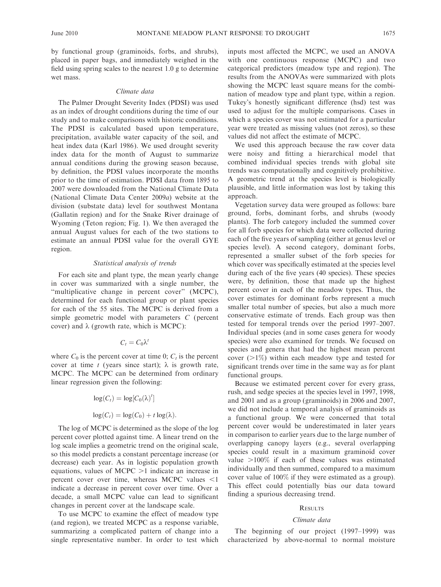by functional group (graminoids, forbs, and shrubs), placed in paper bags, and immediately weighed in the field using spring scales to the nearest 1.0 g to determine wet mass.

#### Climate data

The Palmer Drought Severity Index (PDSI) was used as an index of drought conditions during the time of our study and to make comparisons with historic conditions. The PDSI is calculated based upon temperature, precipitation, available water capacity of the soil, and heat index data (Karl 1986). We used drought severity index data for the month of August to summarize annual conditions during the growing season because, by definition, the PDSI values incorporate the months prior to the time of estimation. PDSI data from 1895 to 2007 were downloaded from the National Climate Data (National Climate Data Center 2009a) website at the division (substate data) level for southwest Montana (Gallatin region) and for the Snake River drainage of Wyoming (Teton region; Fig. 1). We then averaged the annual August values for each of the two stations to estimate an annual PDSI value for the overall GYE region.

## Statistical analysis of trends

For each site and plant type, the mean yearly change in cover was summarized with a single number, the "multiplicative change in percent cover" (MCPC), determined for each functional group or plant species for each of the 55 sites. The MCPC is derived from a simple geometric model with parameters C (percent cover) and  $\lambda$  (growth rate, which is MCPC):

$$
C_t = C_0 \lambda^t
$$

where  $C_0$  is the percent cover at time 0;  $C_t$  is the percent cover at time t (years since start);  $\lambda$  is growth rate, MCPC. The MCPC can be determined from ordinary linear regression given the following:

$$
log(Ct) = log[C0(\lambda)t]
$$

$$
log(Ct) = log(C0) + t log(\lambda).
$$

The log of MCPC is determined as the slope of the log percent cover plotted against time. A linear trend on the log scale implies a geometric trend on the original scale, so this model predicts a constant percentage increase (or decrease) each year. As in logistic population growth equations, values of  $MCPC > 1$  indicate an increase in percent cover over time, whereas MCPC values  $\leq 1$ indicate a decrease in percent cover over time. Over a decade, a small MCPC value can lead to significant changes in percent cover at the landscape scale.

To use MCPC to examine the effect of meadow type (and region), we treated MCPC as a response variable, summarizing a complicated pattern of change into a single representative number. In order to test which inputs most affected the MCPC, we used an ANOVA with one continuous response (MCPC) and two categorical predictors (meadow type and region). The results from the ANOVAs were summarized with plots showing the MCPC least square means for the combination of meadow type and plant type, within a region. Tukey's honestly significant difference (hsd) test was used to adjust for the multiple comparisons. Cases in which a species cover was not estimated for a particular year were treated as missing values (not zeros), so these values did not affect the estimate of MCPC.

We used this approach because the raw cover data were noisy and fitting a hierarchical model that combined individual species trends with global site trends was computationally and cognitively prohibitive. A geometric trend at the species level is biologically plausible, and little information was lost by taking this approach.

Vegetation survey data were grouped as follows: bare ground, forbs, dominant forbs, and shrubs (woody plants). The forb category included the summed cover for all forb species for which data were collected during each of the five years of sampling (either at genus level or species level). A second category, dominant forbs, represented a smaller subset of the forb species for which cover was specifically estimated at the species level during each of the five years (40 species). These species were, by definition, those that made up the highest percent cover in each of the meadow types. Thus, the cover estimates for dominant forbs represent a much smaller total number of species, but also a much more conservative estimate of trends. Each group was then tested for temporal trends over the period 1997–2007. Individual species (and in some cases genera for woody species) were also examined for trends. We focused on species and genera that had the highest mean percent cover  $(>1\%)$  within each meadow type and tested for significant trends over time in the same way as for plant functional groups.

Because we estimated percent cover for every grass, rush, and sedge species at the species level in 1997, 1998, and 2001 and as a group (graminoids) in 2006 and 2007, we did not include a temporal analysis of graminoids as a functional group. We were concerned that total percent cover would be underestimated in later years in comparison to earlier years due to the large number of overlapping canopy layers (e.g., several overlapping species could result in a maximum graminoid cover value  $>100\%$  if each of these values was estimated individually and then summed, compared to a maximum cover value of 100% if they were estimated as a group). This effect could potentially bias our data toward finding a spurious decreasing trend.

## **RESULTS**

#### Climate data

The beginning of our project (1997–1999) was characterized by above-normal to normal moisture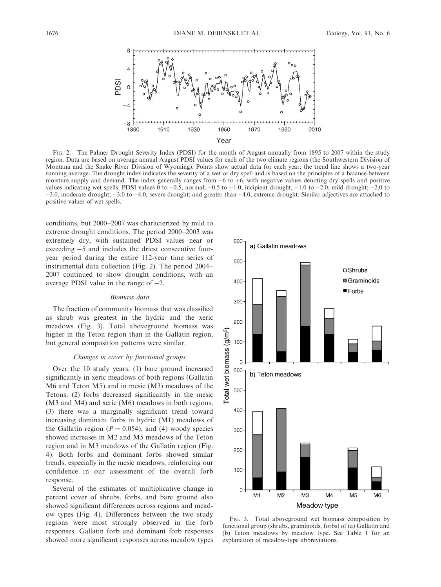

FIG. 2. The Palmer Drought Severity Index (PDSI) for the month of August annually from 1895 to 2007 within the study region. Data are based on average annual August PDSI values for each of the two climate regions (the Southwestern Division of Montana and the Snake River Division of Wyoming). Points show actual data for each year; the trend line shows a two-year running average. The drought index indicates the severity of a wet or dry spell and is based on the principles of a balance between moisture supply and demand. The index generally ranges from  $-6$  to  $+6$ , with negative values denoting dry spells and positive values indicating wet spells. PDSI values 0 to  $-0.5$ , normal;  $-0.5$  to  $-1.0$ , incipient drought;  $-1.0$  to  $-2.0$ , mild drought;  $-2.0$  to  $-3.0$ , moderate drought;  $-3.0$  to  $-4.0$ , severe drought; and greater than  $-4.0$ , extreme drought. Similar adjectives are attached to positive values of wet spells.

conditions, but 2000–2007 was characterized by mild to extreme drought conditions. The period 2000–2003 was extremely dry, with sustained PDSI values near or exceeding  $-5$  and includes the driest consecutive fouryear period during the entire 112-year time series of instrumental data collection (Fig. 2). The period 2004– 2007 continued to show drought conditions, with an average PDSI value in the range of  $-2$ .

## Biomass data

The fraction of community biomass that was classified as shrub was greatest in the hydric and the xeric meadows (Fig. 3). Total aboveground biomass was higher in the Teton region than in the Gallatin region, but general composition patterns were similar.

### Changes in cover by functional groups

Over the 10 study years, (1) bare ground increased significantly in xeric meadows of both regions (Gallatin M6 and Teton M5) and in mesic (M3) meadows of the Tetons, (2) forbs decreased significantly in the mesic (M3 and M4) and xeric (M6) meadows in both regions, (3) there was a marginally significant trend toward increasing dominant forbs in hydric (M1) meadows of the Gallatin region ( $P = 0.054$ ), and (4) woody species showed increases in M2 and M5 meadows of the Teton region and in M3 meadows of the Gallatin region (Fig. 4). Both forbs and dominant forbs showed similar trends, especially in the mesic meadows, reinforcing our confidence in our assessment of the overall forb response.

Several of the estimates of multiplicative change in percent cover of shrubs, forbs, and bare ground also showed significant differences across regions and meadow types (Fig. 4). Differences between the two study regions were most strongly observed in the forb responses. Gallatin forb and dominant forb responses showed more significant responses across meadow types



FIG. 3. Total aboveground wet biomass composition by functional group (shrubs, graminoids, forbs) of (a) Gallatin and (b) Teton meadows by meadow type. See Table 1 for an explanation of meadow-type abbreviations.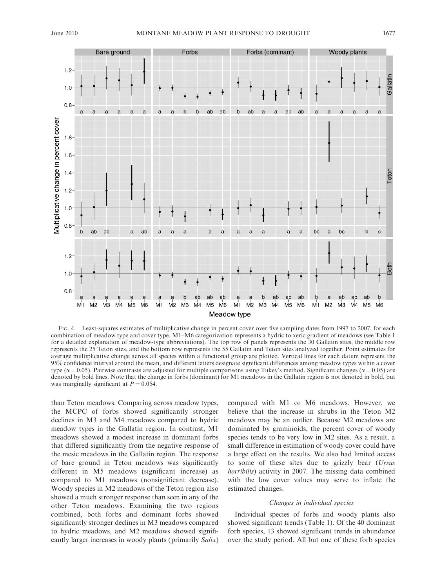

FIG. 4. Least-squares estimates of multiplicative change in percent cover over five sampling dates from 1997 to 2007, for each combination of meadow type and cover type. M1–M6 categorization represents a hydric to xeric gradient of meadows (see Table 1 for a detailed explanation of meadow-type abbreviations). The top row of panels represents the 30 Gallatin sites, the middle row represents the 25 Teton sites, and the bottom row represents the 55 Gallatin and Teton sites analyzed together. Point estimates for average multiplicative change across all species within a functional group are plotted. Vertical lines for each datum represent the 95% confidence interval around the mean, and different letters designate significant differences among meadow types within a cover type ( $\alpha = 0.05$ ). Pairwise contrasts are adjusted for multiple comparisons using Tukey's method. Significant changes ( $\alpha = 0.05$ ) are denoted by bold lines. Note that the change in forbs (dominant) for M1 meadows in the Gallatin region is not denoted in bold, but was marginally significant at  $P = 0.054$ .

than Teton meadows. Comparing across meadow types, the MCPC of forbs showed significantly stronger declines in M3 and M4 meadows compared to hydric meadow types in the Gallatin region. In contrast, M1 meadows showed a modest increase in dominant forbs that differed significantly from the negative response of the mesic meadows in the Gallatin region. The response of bare ground in Teton meadows was significantly different in M5 meadows (significant increase) as compared to M1 meadows (nonsignificant decrease). Woody species in M2 meadows of the Teton region also showed a much stronger response than seen in any of the other Teton meadows. Examining the two regions combined, both forbs and dominant forbs showed significantly stronger declines in M3 meadows compared to hydric meadows, and M2 meadows showed significantly larger increases in woody plants (primarily Salix) compared with M1 or M6 meadows. However, we believe that the increase in shrubs in the Teton M2 meadows may be an outlier. Because M2 meadows are dominated by graminoids, the percent cover of woody species tends to be very low in M2 sites. As a result, a small difference in estimation of woody cover could have a large effect on the results. We also had limited access to some of these sites due to grizzly bear (Ursus horribilis) activity in 2007. The missing data combined with the low cover values may serve to inflate the estimated changes.

## Changes in individual species

Individual species of forbs and woody plants also showed significant trends (Table 1). Of the 40 dominant forb species, 13 showed significant trends in abundance over the study period. All but one of these forb species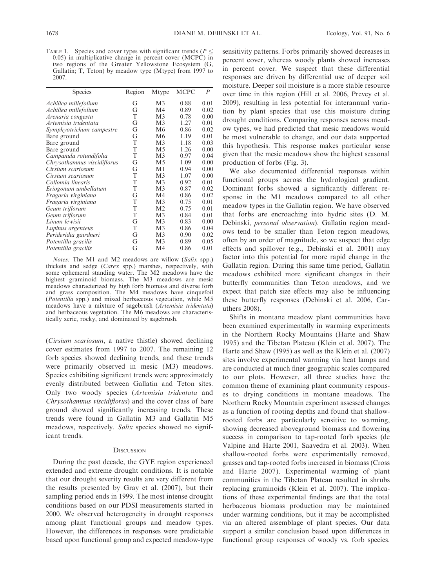TABLE 1. Species and cover types with significant trends ( $P \leq$ 0.05) in multiplicative change in percent cover (MCPC) in two regions of the Greater Yellowstone Ecosystem (G, Gallatin; T, Teton) by meadow type (Mtype) from 1997 to 2007.

| Species                     | Region | Mtype          | <b>MCPC</b> | $\boldsymbol{P}$ |
|-----------------------------|--------|----------------|-------------|------------------|
| Achillea millefolium        | G      | M3             | 0.88        | 0.01             |
| Achillea millefolium        | G      | M <sub>4</sub> | 0.89        | 0.02             |
| Arenaria congesta           | T      | M <sub>3</sub> | 0.78        | 0.00             |
| Artemisia tridentata        | G      | M <sub>3</sub> | 1.27        | 0.01             |
| Symphyotrichum campestre    | G      | M <sub>6</sub> | 0.86        | 0.02             |
| Bare ground                 | G      | M6             | 1.19        | 0.01             |
| Bare ground                 | T      | M3             | 1.18        | 0.03             |
| Bare ground                 | T      | M5             | 1.26        | 0.00             |
| Campanula rotundifolia      | T      | M <sub>3</sub> | 0.97        | 0.04             |
| Chrysothamnus viscidiflorus | G      | M5             | 1.09        | 0.00             |
| Cirsium scariosum           | G      | M <sub>1</sub> | 0.94        | 0.00             |
| Cirsium scariosum           | T      | M <sub>3</sub> | 1.07        | 0.00             |
| Collomia linearis           | T      | M3             | 0.92        | 0.01             |
| Eriogonum umbellatum        | T      | M <sub>3</sub> | 0.87        | 0.02             |
| Fragaria virginiana         | G      | M <sub>4</sub> | 0.86        | 0.02             |
| Fragaria virginiana         | T      | M3             | 0.75        | 0.01             |
| Geum triflorum              | T      | M <sub>2</sub> | 0.75        | 0.01             |
| Geum triflorum              | T      | M <sub>3</sub> | 0.84        | 0.01             |
| Linum lewisii               | G      | M <sub>3</sub> | 0.83        | 0.00             |
| Lupinus argenteus           | T      | M <sub>3</sub> | 0.86        | 0.04             |
| Perideridia gairdneri       | G      | M <sub>3</sub> | 0.90        | 0.02             |
| Potentilla gracilis         | G      | M <sub>3</sub> | 0.89        | 0.05             |
| Potentilla gracilis         | G      | M4             | 0.86        | 0.01             |

Notes: The M1 and M2 meadows are willow (Salix spp.) thickets and sedge (Carex spp.) marshes, respectively, with some ephemeral standing water. The M2 meadows have the highest graminoid biomass. The M3 meadows are mesic meadows characterized by high forb biomass and diverse forb and grass composition. The M4 meadows have cinquefoil (Potentilla spp.) and mixed herbaceous vegetation, while M5 meadows have a mixture of sagebrush (Artemisia tridentata) and herbaceous vegetation. The M6 meadows are characteristically xeric, rocky, and dominated by sagebrush.

(Cirsium scariosum, a native thistle) showed declining cover estimates from 1997 to 2007. The remaining 12 forb species showed declining trends, and these trends were primarily observed in mesic (M3) meadows. Species exhibiting significant trends were approximately evenly distributed between Gallatin and Teton sites. Only two woody species (Artemisia tridentata and Chrysothamnus viscidiflorus) and the cover class of bare ground showed significantly increasing trends. These trends were found in Gallatin M3 and Gallatin M5 meadows, respectively. Salix species showed no significant trends.

#### **DISCUSSION**

During the past decade, the GYE region experienced extended and extreme drought conditions. It is notable that our drought severity results are very different from the results presented by Gray et al. (2007), but their sampling period ends in 1999. The most intense drought conditions based on our PDSI measurements started in 2000. We observed heterogeneity in drought responses among plant functional groups and meadow types. However, the differences in responses were predictable based upon functional group and expected meadow-type

sensitivity patterns. Forbs primarily showed decreases in percent cover, whereas woody plants showed increases in percent cover. We suspect that these differential responses are driven by differential use of deeper soil moisture. Deeper soil moisture is a more stable resource over time in this region (Hill et al. 2006, Prevey et al. 2009), resulting in less potential for interannual variation by plant species that use this moisture during drought conditions. Comparing responses across meadow types, we had predicted that mesic meadows would be most vulnerable to change, and our data supported this hypothesis. This response makes particular sense given that the mesic meadows show the highest seasonal production of forbs (Fig. 3).

We also documented differential responses within functional groups across the hydrological gradient. Dominant forbs showed a significantly different response in the M1 meadows compared to all other meadow types in the Gallatin region. We have observed that forbs are encroaching into hydric sites (D. M. Debinski, personal observation). Gallatin region meadows tend to be smaller than Teton region meadows, often by an order of magnitude, so we suspect that edge effects and spillover (e.g., Debinski et al. 2001) may factor into this potential for more rapid change in the Gallatin region. During this same time period, Gallatin meadows exhibited more significant changes in their butterfly communities than Teton meadows, and we expect that patch size effects may also be influencing these butterfly responses (Debinski et al. 2006, Caruthers 2008).

Shifts in montane meadow plant communities have been examined experimentally in warming experiments in the Northern Rocky Mountains (Harte and Shaw 1995) and the Tibetan Plateau (Klein et al. 2007). The Harte and Shaw (1995) as well as the Klein et al. (2007) sites involve experimental warming via heat lamps and are conducted at much finer geographic scales compared to our plots. However, all three studies have the common theme of examining plant community responses to drying conditions in montane meadows. The Northern Rocky Mountain experiment assessed changes as a function of rooting depths and found that shallowrooted forbs are particularly sensitive to warming, showing decreased aboveground biomass and flowering success in comparison to tap-rooted forb species (de Valpine and Harte 2001, Saavedra et al. 2003). When shallow-rooted forbs were experimentally removed, grasses and tap-rooted forbs increased in biomass (Cross and Harte 2007). Experimental warming of plant communities in the Tibetan Plateau resulted in shrubs replacing graminoids (Klein et al. 2007). The implications of these experimental findings are that the total herbaceous biomass production may be maintained under warming conditions, but it may be accomplished via an altered assemblage of plant species. Our data support a similar conclusion based upon differences in functional group responses of woody vs. forb species.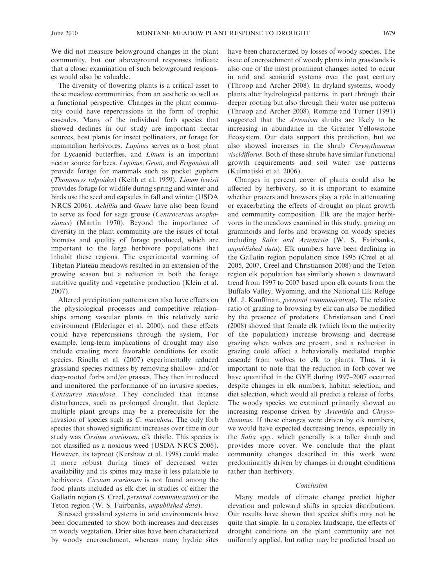We did not measure belowground changes in the plant community, but our aboveground responses indicate that a closer examination of such belowground responses would also be valuable.

The diversity of flowering plants is a critical asset to these meadow communities, from an aesthetic as well as a functional perspective. Changes in the plant community could have repercussions in the form of trophic cascades. Many of the individual forb species that showed declines in our study are important nectar sources, host plants for insect pollinators, or forage for mammalian herbivores. Lupinus serves as a host plant for Lycaenid butterflies, and *Linum* is an important nectar source for bees. Lupinus, Geum, and Erigonium all provide forage for mammals such as pocket gophers (Thomomys talpoides) (Keith et al. 1959). Linum lewisii provides forage for wildlife during spring and winter and birds use the seed and capsules in fall and winter (USDA NRCS 2006). Achillia and Geum have also been found to serve as food for sage grouse (Centrocercus urophasianus) (Martin 1970). Beyond the importance of diversity in the plant community are the issues of total biomass and quality of forage produced, which are important to the large herbivore populations that inhabit these regions. The experimental warming of Tibetan Plateau meadows resulted in an extension of the growing season but a reduction in both the forage nutritive quality and vegetative production (Klein et al. 2007).

Altered precipitation patterns can also have effects on the physiological processes and competitive relationships among vascular plants in this relatively xeric environment (Ehleringer et al. 2000), and these effects could have repercussions through the system. For example, long-term implications of drought may also include creating more favorable conditions for exotic species. Rinella et al. (2007) experimentally reduced grassland species richness by removing shallow- and/or deep-rooted forbs and/or grasses. They then introduced and monitored the performance of an invasive species, Centaurea maculosa. They concluded that intense disturbances, such as prolonged drought, that deplete multiple plant groups may be a prerequisite for the invasion of species such as C. maculosa. The only forb species that showed significant increases over time in our study was Cirsium scariosum, elk thistle. This species is not classified as a noxious weed (USDA NRCS 2006). However, its taproot (Kershaw et al. 1998) could make it more robust during times of decreased water availability and its spines may make it less palatable to herbivores. *Cirsium scariosum* is not found among the food plants included as elk diet in studies of either the Gallatin region (S. Creel, personal communication) or the Teton region (W. S. Fairbanks, unpublished data).

Stressed grassland systems in arid environments have been documented to show both increases and decreases in woody vegetation. Drier sites have been characterized by woody encroachment, whereas many hydric sites have been characterized by losses of woody species. The issue of encroachment of woody plants into grasslands is also one of the most prominent changes noted to occur in arid and semiarid systems over the past century (Throop and Archer 2008). In dryland systems, woody plants alter hydrological patterns, in part through their deeper rooting but also through their water use patterns (Throop and Archer 2008). Romme and Turner (1991) suggested that the Artemisia shrubs are likely to be increasing in abundance in the Greater Yellowstone Ecosystem. Our data support this prediction, but we also showed increases in the shrub Chrysothamnus viscidiflorus. Both of these shrubs have similar functional growth requirements and soil water use patterns (Kulmatiski et al. 2006).

Changes in percent cover of plants could also be affected by herbivory, so it is important to examine whether grazers and browsers play a role in attenuating or exacerbating the effects of drought on plant growth and community composition. Elk are the major herbivores in the meadows examined in this study, grazing on graminoids and forbs and browsing on woody species including Salix and Artemisia (W. S. Fairbanks, unpublished data). Elk numbers have been declining in the Gallatin region population since 1995 (Creel et al. 2005, 2007, Creel and Christianson 2008) and the Teton region elk population has similarly shown a downward trend from 1997 to 2007 based upon elk counts from the Buffalo Valley, Wyoming, and the National Elk Refuge (M. J. Kauffman, personal communication). The relative ratio of grazing to browsing by elk can also be modified by the presence of predators. Christianson and Creel (2008) showed that female elk (which form the majority of the population) increase browsing and decrease grazing when wolves are present, and a reduction in grazing could affect a behaviorally mediated trophic cascade from wolves to elk to plants. Thus, it is important to note that the reduction in forb cover we have quantified in the GYE during 1997–2007 occurred despite changes in elk numbers, habitat selection, and diet selection, which would all predict a release of forbs. The woody species we examined primarily showed an increasing response driven by Artemisia and Chrysothamnus. If these changes were driven by elk numbers, we would have expected decreasing trends, especially in the Salix spp., which generally is a taller shrub and provides more cover. We conclude that the plant community changes described in this work were predominantly driven by changes in drought conditions rather than herbivory.

#### Conclusion

Many models of climate change predict higher elevation and poleward shifts in species distributions. Our results have shown that species shifts may not be quite that simple. In a complex landscape, the effects of drought conditions on the plant community are not uniformly applied, but rather may be predicted based on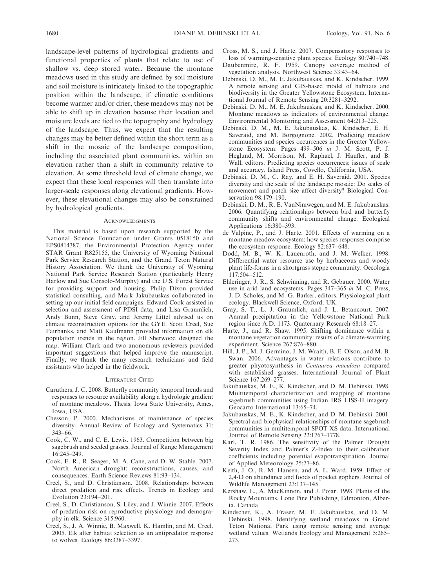landscape-level patterns of hydrological gradients and functional properties of plants that relate to use of shallow vs. deep stored water. Because the montane meadows used in this study are defined by soil moisture and soil moisture is intricately linked to the topographic position within the landscape, if climatic conditions become warmer and/or drier, these meadows may not be able to shift up in elevation because their location and moisture levels are tied to the topography and hydrology of the landscape. Thus, we expect that the resulting changes may be better defined within the short term as a shift in the mosaic of the landscape composition, including the associated plant communities, within an elevation rather than a shift in community relative to elevation. At some threshold level of climate change, we expect that these local responses will then translate into larger-scale responses along elevational gradients. However, these elevational changes may also be constrained by hydrological gradients.

#### **ACKNOWLEDGMENTS**

This material is based upon research supported by the National Science Foundation under Grants 0518150 and EPS0814387, the Environmental Protection Agency under STAR Grant R825155, the University of Wyoming National Park Service Research Station, and the Grand Teton Natural History Association. We thank the University of Wyoming National Park Service Research Station (particularly Henry Harlow and Sue Consolo-Murphy) and the U.S. Forest Service for providing support and housing. Philip Dixon provided statistical consulting, and Mark Jakubauskas collaborated in setting up our initial field campaigns. Edward Cook assisted in selection and assessment of PDSI data; and Lisa Graumlich, Andy Bunn, Steve Gray, and Jeremy Littel advised us on climate reconstruction options for the GYE. Scott Creel, Sue Fairbanks, and Matt Kaufmann provided information on elk population trends in the region. Jill Sherwood designed the map. William Clark and two anonomous reviewers provided important suggestions that helped improve the manuscript. Finally, we thank the many research technicians and field assistants who helped in the fieldwork.

#### LITERATURE CITED

- Caruthers, J. C. 2008. Butterfly community temporal trends and responses to resource availability along a hydrologic gradient of montane meadows. Thesis. Iowa State University, Ames, Iowa, USA.
- Chesson, P. 2000. Mechanisms of maintenance of species diversity. Annual Review of Ecology and Systematics 31: 343–66.
- Cook, C. W., and C. E. Lewis. 1963. Competition between big sagebrush and seeded grasses. Journal of Range Management 16:245–249.
- Cook, E. R., R. Seager, M. A. Cane, and D. W. Stahle. 2007. North American drought: reconstructions, causes, and consequences. Earth Science Reviews 81:93–134.
- Creel, S., and D. Christianson. 2008. Relationships between direct predation and risk effects. Trends in Ecology and Evolution 23:194–201.
- Creel, S., D. Christianson, S. Liley, and J. Winnie. 2007. Effects of predation risk on reproductive physiology and demography in elk. Science 315:960.
- Creel, S., J. A. Winnie, B. Maxwell, K. Hamlin, and M. Creel. 2005. Elk alter habitat selection as an antipredator response to wolves. Ecology 86:3387–3397.
- Cross, M. S., and J. Harte. 2007. Compensatory responses to loss of warming-sensitive plant species. Ecology 80:740–748.
- Daubenmire, R. F. 1959. Canopy coverage method of vegetation analysis. Northwest Science 33:43–64.
- Debinski, D. M., M. E. Jakubauskas, and K. Kindscher. 1999. A remote sensing and GIS-based model of habitats and biodiversity in the Greater Yellowstone Ecosystem. International Journal of Remote Sensing 20:3281–3292.
- Debinski, D. M., M. E. Jakubauskas, and K. Kindscher. 2000. Montane meadows as indicators of environmental change. Environmental Monitoring and Assessment 64:213–225.
- Debinski, D. M., M. E. Jakubauskas, K. Kindscher, E. H. Saveraid, and M. Borgognone. 2002. Predicting meadow communities and species occurrences in the Greater Yellowstone Ecosystem. Pages 499–506 in J. M. Scott, P. J. Heglund, M. Morrison, M. Raphael, J. Haufler, and B. Wall, editors. Predicting species occurrences: issues of scale and accuracy. Island Press, Covello, California, USA.
- Debinski, D. M., C. Ray, and E. H. Saveraid. 2001. Species diversity and the scale of the landscape mosaic: Do scales of movement and patch size affect diversity? Biological Conservation 98:179–190.
- Debinski, D. M., R. E. VanNimwegen, and M. E. Jakubauskas. 2006. Quantifying relationships between bird and butterfly community shifts and environmental change. Ecological Applications 16:380–393.
- de Valpine, P., and J. Harte. 2001. Effects of warming on a montane meadow ecosystem: how species responses comprise the ecosystem response. Ecology 82:637–648.
- Dodd, M. B., W. K. Lauenroth, and J. M. Welker. 1998. Differential water resource use by herbaceous and woody plant life-forms in a shortgrass steppe community. Oecologia 117:504–512.
- Ehleringer, J. R., S. Schwinning, and R. Gebauer. 2000. Water use in arid land ecosystems. Pages 347–365 in M. C. Press, J. D. Scholes, and M. G. Barker, editors. Physiological plant ecology. Blackwell Science, Oxford, UK.
- Gray, S. T., L. J. Graumlich, and J. L. Betancourt. 2007. Annual precipitation in the Yellowstone National Park region since A.D. 1173. Quaternary Research 68:18–27.
- Harte, J., and R. Shaw. 1995. Shifting dominance within a montane vegetation community: results of a climate-warming experiment. Science 267:876–880.
- Hill, J. P., M. J. Germino, J. M. Wraith, B. E. Olson, and M. B. Swan. 2006. Advantages in water relations contribute to greater phyotosynthesis in Centaurea maculosa compared with established grasses. International Journal of Plant Science 167:269–277.
- Jakubauskas, M. E., K. Kindscher, and D. M. Debinski. 1998. Multitemporal characterization and mapping of montane sagebrush communities using Indian IRS LISS-II imagery. Geocarto International 13:65–74.
- Jakubauskas, M. E., K. Kindscher, and D. M. Debinski. 2001. Spectral and biophysical relationships of montane sagebrush communities in multitemporal SPOT XS data. International Journal of Remote Sensing 22:1767–1778.
- Karl, T. R. 1986. The sensitivity of the Palmer Drought Severity Index and Palmer's Z-Index to their calibration coefficients including potential evapotranspiration. Journal of Applied Meteorology 25:77–86.
- Keith, J. O., R. M. Hansen, and A. L. Ward. 1959. Effect of 2,4-D on abundance and foods of pocket gophers. Journal of Wildlife Management 23:137–145.
- Kershaw, L., A. MacKinnon, and J. Pojar. 1998. Plants of the Rocky Mountains. Lone Pine Publishing, Edmonton, Alberta, Canada.
- Kindscher, K., A. Fraser, M. E. Jakubauskas, and D. M. Debinski. 1998. Identifying wetland meadows in Grand Teton National Park using remote sensing and average wetland values. Wetlands Ecology and Management 5:265– 273.